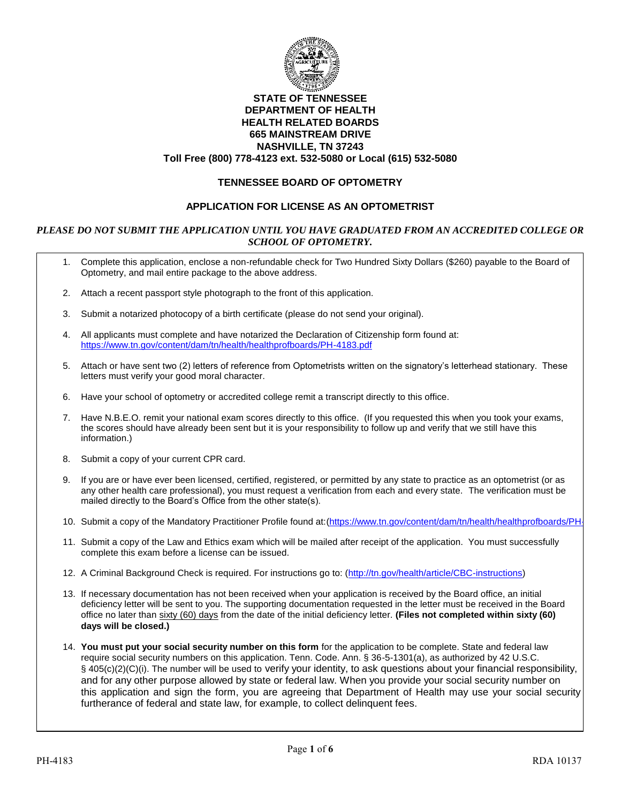

#### **STATE OF TENNESSEE DEPARTMENT OF HEALTH HEALTH RELATED BOARDS 665 MAINSTREAM DRIVE NASHVILLE, TN 37243 Toll Free (800) 778-4123 ext. 532-5080 or Local (615) 532-5080**

# **TENNESSEE BOARD OF OPTOMETRY**

## **APPLICATION FOR LICENSE AS AN OPTOMETRIST**

#### *PLEASE DO NOT SUBMIT THE APPLICATION UNTIL YOU HAVE GRADUATED FROM AN ACCREDITED COLLEGE OR SCHOOL OF OPTOMETRY.*

- 1. Complete this application, enclose a non-refundable check for Two Hundred Sixty Dollars (\$260) payable to the Board of Optometry, and mail entire package to the above address.
- 2. Attach a recent passport style photograph to the front of this application.
- 3. Submit a notarized photocopy of a birth certificate (please do not send your original).
- 4. All applicants must complete and have notarized the Declaration of Citizenship form found at: <https://www.tn.gov/content/dam/tn/health/healthprofboards/PH-4183.pdf>
- 5. Attach or have sent two (2) letters of reference from Optometrists written on the signatory's letterhead stationary. These letters must verify your good moral character.
- 6. Have your school of optometry or accredited college remit a transcript directly to this office.
- 7. Have N.B.E.O. remit your national exam scores directly to this office. (If you requested this when you took your exams, the scores should have already been sent but it is your responsibility to follow up and verify that we still have this information.)
- 8. Submit a copy of your current CPR card.
- 9. If you are or have ever been licensed, certified, registered, or permitted by any state to practice as an optometrist (or as any other health care professional), you must request a verification from each and every state. The verification must be mailed directly to the Board's Office from the other state(s).
- 10. Submit a copy of the Mandatory Practitioner Profile found at:(https://www.tn.gov/content/dam/tn/health/healthprofboards/PH-
- 11. Submit a copy of the Law and Ethics exam which will be mailed after receipt of the application. You must successfully complete this exam before a license can be issued.
- 12. A Criminal Background Check is required. For instructions go to: [\(http://tn.gov/health/article/CBC-instructions\)](http://tn.gov/health/article/CBC-instructions)
- 13. If necessary documentation has not been received when your application is received by the Board office, an initial deficiency letter will be sent to you. The supporting documentation requested in the letter must be received in the Board office no later than sixty (60) days from the date of the initial deficiency letter. **(Files not completed within sixty (60) days will be closed.)**
- 14. **You must put your social security number on this form** for the application to be complete. State and federal law require social security numbers on this application. Tenn. Code. Ann. § 36-5-1301(a), as authorized by 42 U.S.C. § 405(c)(2)(C)(i). The number will be used to verify your identity, to ask questions about your financial responsibility, and for any other purpose allowed by state or federal law. When you provide your social security number on this application and sign the form, you are agreeing that Department of Health may use your social security furtherance of federal and state law, for example, to collect delinquent fees.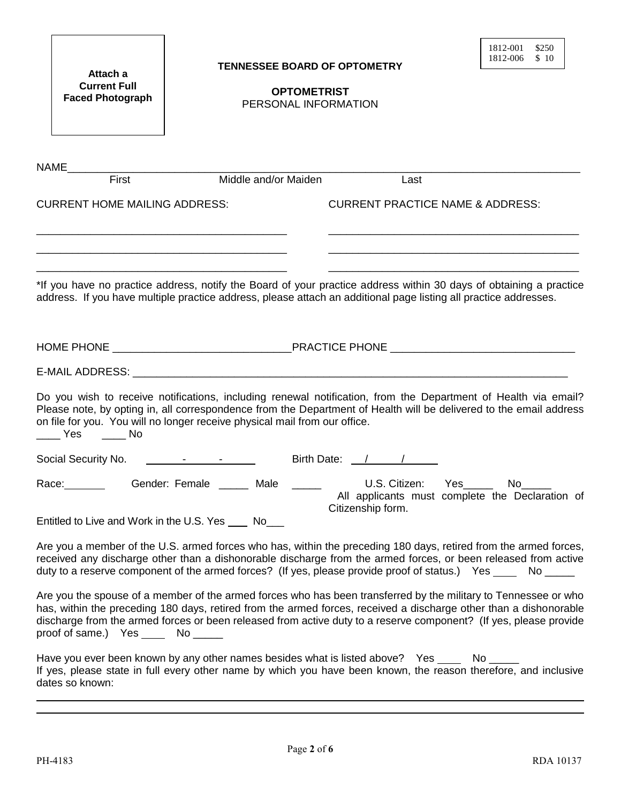| Attach a<br><b>Current Full</b><br><b>Faced Photograph</b>                                                                                                                                                                                                                                                                                                                                      |  | <b>TENNESSEE BOARD OF OPTOMETRY</b><br><b>OPTOMETRIST</b><br>PERSONAL INFORMATION |                   |      |                                             | 1812-001<br>1812-006 | \$250<br>\$10                                   |
|-------------------------------------------------------------------------------------------------------------------------------------------------------------------------------------------------------------------------------------------------------------------------------------------------------------------------------------------------------------------------------------------------|--|-----------------------------------------------------------------------------------|-------------------|------|---------------------------------------------|----------------------|-------------------------------------------------|
| First                                                                                                                                                                                                                                                                                                                                                                                           |  | Middle and/or Maiden                                                              |                   | Last |                                             |                      |                                                 |
| <b>CURRENT HOME MAILING ADDRESS:</b><br>*If you have no practice address, notify the Board of your practice address within 30 days of obtaining a practice<br>address. If you have multiple practice address, please attach an additional page listing all practice addresses.                                                                                                                  |  |                                                                                   |                   |      | <b>CURRENT PRACTICE NAME &amp; ADDRESS:</b> |                      |                                                 |
| Do you wish to receive notifications, including renewal notification, from the Department of Health via email?<br>Please note, by opting in, all correspondence from the Department of Health will be delivered to the email address<br>on file for you. You will no longer receive physical mail from our office.<br>Yes No                                                                    |  |                                                                                   |                   |      |                                             |                      |                                                 |
|                                                                                                                                                                                                                                                                                                                                                                                                 |  |                                                                                   |                   |      |                                             |                      |                                                 |
| Race: Gender: Female _____ Male _____<br>Entitled to Live and Work in the U.S. Yes _____ No____                                                                                                                                                                                                                                                                                                 |  |                                                                                   | Citizenship form. |      | U.S. Citizen: Yes_____ No____               |                      | All applicants must complete the Declaration of |
| Are you a member of the U.S. armed forces who has, within the preceding 180 days, retired from the armed forces,<br>received any discharge other than a dishonorable discharge from the armed forces, or been released from active<br>duty to a reserve component of the armed forces? (If yes, please provide proof of status.) Yes _____ No _____                                             |  |                                                                                   |                   |      |                                             |                      |                                                 |
| Are you the spouse of a member of the armed forces who has been transferred by the military to Tennessee or who<br>has, within the preceding 180 days, retired from the armed forces, received a discharge other than a dishonorable<br>discharge from the armed forces or been released from active duty to a reserve component? (If yes, please provide<br>proof of same.) Yes _____ No _____ |  |                                                                                   |                   |      |                                             |                      |                                                 |
| Have you ever been known by any other names besides what is listed above? Yes _____ No _____<br>If yes, please state in full every other name by which you have been known, the reason therefore, and inclusive<br>dates so known:                                                                                                                                                              |  |                                                                                   |                   |      |                                             |                      |                                                 |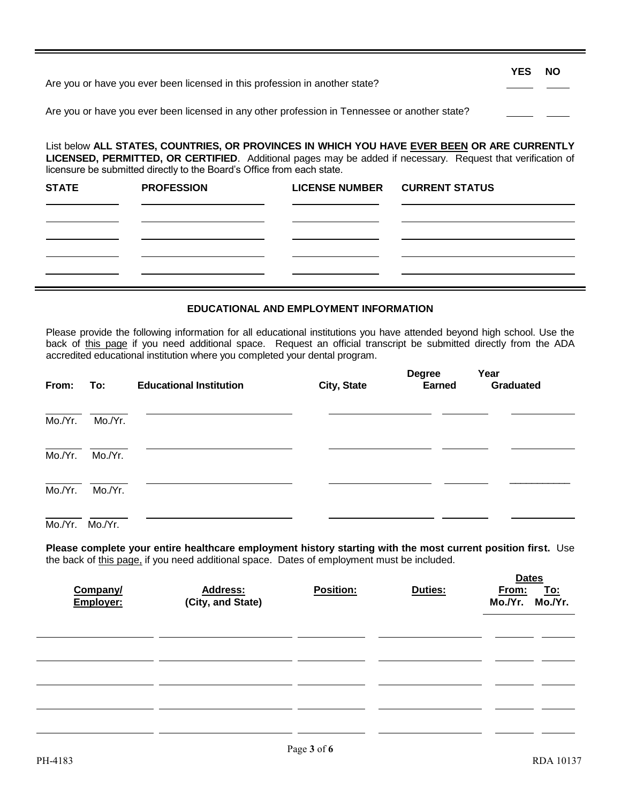| Are you or have you ever been licensed in this profession in another state?                   | <b>YES</b> | <b>NO</b> |
|-----------------------------------------------------------------------------------------------|------------|-----------|
| Are you or have you ever been licensed in any other profession in Tennessee or another state? |            |           |

List below **ALL STATES, COUNTRIES, OR PROVINCES IN WHICH YOU HAVE EVER BEEN OR ARE CURRENTLY LICENSED, PERMITTED, OR CERTIFIED**. Additional pages may be added if necessary. Request that verification of licensure be submitted directly to the Board's Office from each state.

| <b>STATE</b> | <b>PROFESSION</b> | LICENSE NUMBER CURRENT STATUS |  |
|--------------|-------------------|-------------------------------|--|
|              |                   |                               |  |
|              |                   |                               |  |
|              |                   |                               |  |
|              |                   |                               |  |
|              |                   |                               |  |

#### **EDUCATIONAL AND EMPLOYMENT INFORMATION**

Please provide the following information for all educational institutions you have attended beyond high school. Use the back of this page if you need additional space. Request an official transcript be submitted directly from the ADA accredited educational institution where you completed your dental program.

| From:   | To:     | <b>Educational Institution</b> | City, State | <b>Degree</b><br><b>Earned</b> | Year<br>Graduated |  |
|---------|---------|--------------------------------|-------------|--------------------------------|-------------------|--|
| Mo./Yr. | Mo./Yr. |                                |             |                                |                   |  |
| Mo./Yr. | Mo./Yr. |                                |             |                                |                   |  |
| Mo./Yr. | Mo./Yr. |                                |             |                                |                   |  |
| Mo./Yr. | Mo./Yr. |                                |             |                                |                   |  |

**Please complete your entire healthcare employment history starting with the most current position first.** Use the back of this page, if you need additional space. Dates of employment must be included.

| Company/<br>Employer: | <b>Address:</b><br>(City, and State) | <b>Position:</b> | Duties: | <b>Dates</b><br>From: To:<br>Mo./Yr. Mo./Yr. |
|-----------------------|--------------------------------------|------------------|---------|----------------------------------------------|
|                       |                                      |                  |         |                                              |
|                       |                                      |                  |         |                                              |
|                       |                                      |                  |         |                                              |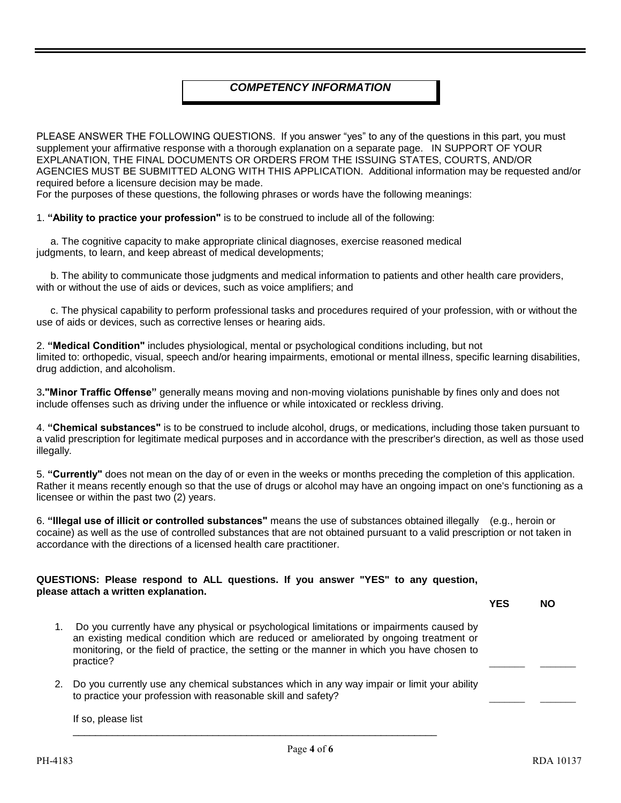# *COMPETENCY INFORMATION*

PLEASE ANSWER THE FOLLOWING QUESTIONS. If you answer "yes" to any of the questions in this part, you must supplement your affirmative response with a thorough explanation on a separate page. IN SUPPORT OF YOUR EXPLANATION, THE FINAL DOCUMENTS OR ORDERS FROM THE ISSUING STATES, COURTS, AND/OR AGENCIES MUST BE SUBMITTED ALONG WITH THIS APPLICATION. Additional information may be requested and/or required before a licensure decision may be made.

For the purposes of these questions, the following phrases or words have the following meanings:

1. **"Ability to practice your profession"** is to be construed to include all of the following:

 a. The cognitive capacity to make appropriate clinical diagnoses, exercise reasoned medical judgments, to learn, and keep abreast of medical developments;

 b. The ability to communicate those judgments and medical information to patients and other health care providers, with or without the use of aids or devices, such as voice amplifiers; and

 c. The physical capability to perform professional tasks and procedures required of your profession, with or without the use of aids or devices, such as corrective lenses or hearing aids.

2. **"Medical Condition"** includes physiological, mental or psychological conditions including, but not limited to: orthopedic, visual, speech and/or hearing impairments, emotional or mental illness, specific learning disabilities, drug addiction, and alcoholism.

3**."Minor Traffic Offense"** generally means moving and non-moving violations punishable by fines only and does not include offenses such as driving under the influence or while intoxicated or reckless driving.

4. **"Chemical substances"** is to be construed to include alcohol, drugs, or medications, including those taken pursuant to a valid prescription for legitimate medical purposes and in accordance with the prescriber's direction, as well as those used illegally.

5. **"Currently"** does not mean on the day of or even in the weeks or months preceding the completion of this application. Rather it means recently enough so that the use of drugs or alcohol may have an ongoing impact on one's functioning as a licensee or within the past two (2) years.

6. **"Illegal use of illicit or controlled substances"** means the use of substances obtained illegally (e.g., heroin or cocaine) as well as the use of controlled substances that are not obtained pursuant to a valid prescription or not taken in accordance with the directions of a licensed health care practitioner.

#### **QUESTIONS: Please respond to ALL questions. If you answer "YES" to any question, please attach a written explanation.**

- 1. Do you currently have any physical or psychological limitations or impairments caused by an existing medical condition which are reduced or ameliorated by ongoing treatment or monitoring, or the field of practice, the setting or the manner in which you have chosen to practice? \_\_\_\_\_\_\_ \_\_\_\_\_\_\_
- 2. Do you currently use any chemical substances which in any way impair or limit your ability to practice your profession with reasonable skill and safety?

\_\_\_\_\_\_\_\_\_\_\_\_\_\_\_\_\_\_\_\_\_\_\_\_\_\_\_\_\_\_\_\_\_\_\_\_\_\_\_\_\_\_\_\_\_\_\_\_\_\_\_\_\_\_\_\_\_\_\_\_\_\_\_\_\_

If so, please list

**YES NO**

\_\_\_\_\_\_\_ \_\_\_\_\_\_\_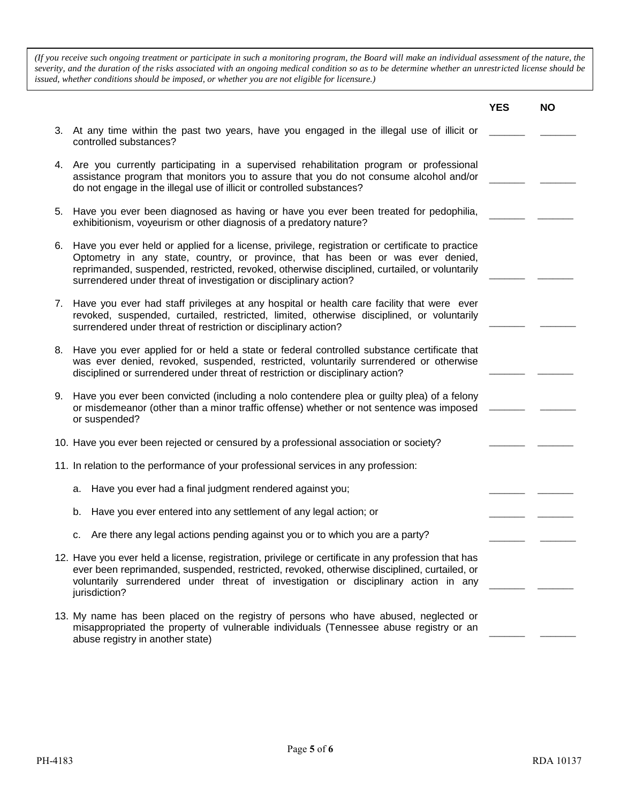*(If you receive such ongoing treatment or participate in such a monitoring program, the Board will make an individual assessment of the nature, the severity, and the duration of the risks associated with an ongoing medical condition so as to be determine whether an unrestricted license should be issued, whether conditions should be imposed, or whether you are not eligible for licensure.)*

|                                                                                                                                                                                                                                                                                                                                                             | <b>YES</b> | <b>NO</b> |
|-------------------------------------------------------------------------------------------------------------------------------------------------------------------------------------------------------------------------------------------------------------------------------------------------------------------------------------------------------------|------------|-----------|
| 3. At any time within the past two years, have you engaged in the illegal use of illicit or<br>controlled substances?                                                                                                                                                                                                                                       |            |           |
| 4. Are you currently participating in a supervised rehabilitation program or professional<br>assistance program that monitors you to assure that you do not consume alcohol and/or<br>do not engage in the illegal use of illicit or controlled substances?                                                                                                 |            |           |
| 5. Have you ever been diagnosed as having or have you ever been treated for pedophilia,<br>exhibitionism, voyeurism or other diagnosis of a predatory nature?                                                                                                                                                                                               |            |           |
| 6. Have you ever held or applied for a license, privilege, registration or certificate to practice<br>Optometry in any state, country, or province, that has been or was ever denied,<br>reprimanded, suspended, restricted, revoked, otherwise disciplined, curtailed, or voluntarily<br>surrendered under threat of investigation or disciplinary action? |            |           |
| 7. Have you ever had staff privileges at any hospital or health care facility that were ever<br>revoked, suspended, curtailed, restricted, limited, otherwise disciplined, or voluntarily<br>surrendered under threat of restriction or disciplinary action?                                                                                                |            |           |
| 8. Have you ever applied for or held a state or federal controlled substance certificate that<br>was ever denied, revoked, suspended, restricted, voluntarily surrendered or otherwise<br>disciplined or surrendered under threat of restriction or disciplinary action?                                                                                    |            |           |
| 9. Have you ever been convicted (including a nolo contendere plea or guilty plea) of a felony<br>or misdemeanor (other than a minor traffic offense) whether or not sentence was imposed<br>or suspended?                                                                                                                                                   |            |           |
| 10. Have you ever been rejected or censured by a professional association or society?                                                                                                                                                                                                                                                                       |            |           |
| 11. In relation to the performance of your professional services in any profession:                                                                                                                                                                                                                                                                         |            |           |
| Have you ever had a final judgment rendered against you;<br>а.                                                                                                                                                                                                                                                                                              |            |           |
| Have you ever entered into any settlement of any legal action; or<br>b.                                                                                                                                                                                                                                                                                     |            |           |
| Are there any legal actions pending against you or to which you are a party?<br>с.                                                                                                                                                                                                                                                                          |            |           |
| 12. Have you ever held a license, registration, privilege or certificate in any profession that has<br>ever been reprimanded, suspended, restricted, revoked, otherwise disciplined, curtailed, or<br>voluntarily surrendered under threat of investigation or disciplinary action in any<br>jurisdiction?                                                  |            |           |
| 13. My name has been placed on the registry of persons who have abused, neglected or<br>misappropriated the property of vulnerable individuals (Tennessee abuse registry or an<br>abuse registry in another state)                                                                                                                                          |            |           |